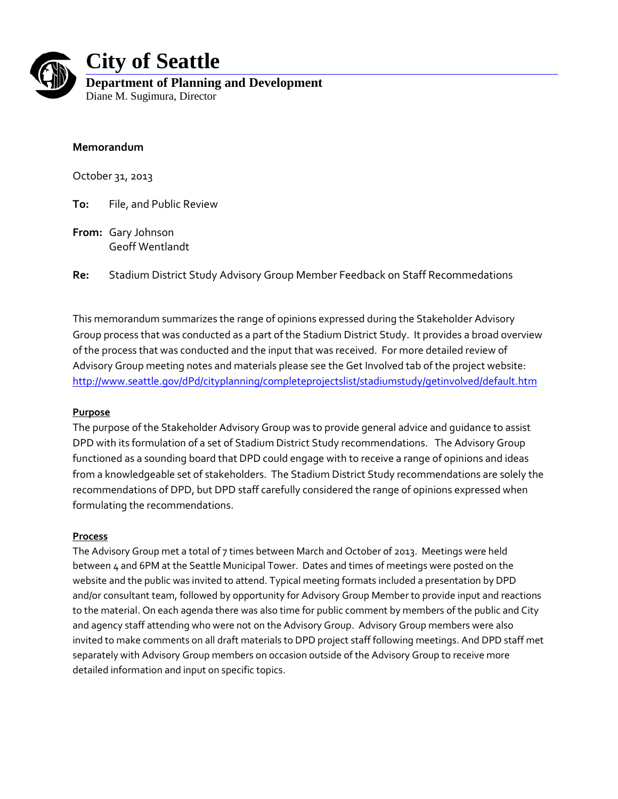

# **City of Seattle**

**Department of Planning and Development** Diane M. Sugimura, Director

# **Memorandum**

October 31, 2013

**To:** File, and Public Review

**From:** Gary Johnson Geoff Wentlandt

**Re:** Stadium District Study Advisory Group Member Feedback on Staff Recommedations

This memorandum summarizes the range of opinions expressed during the Stakeholder Advisory Group process that was conducted as a part of the Stadium District Study. It provides a broad overview of the process that was conducted and the input that was received. For more detailed review of Advisory Group meeting notes and materials please see the Get Involved tab of the project website: <http://www.seattle.gov/dPd/cityplanning/completeprojectslist/stadiumstudy/getinvolved/default.htm>

# **Purpose**

The purpose of the Stakeholder Advisory Group was to provide general advice and guidance to assist DPD with its formulation of a set of Stadium District Study recommendations. The Advisory Group functioned as a sounding board that DPD could engage with to receive a range of opinions and ideas from a knowledgeable set of stakeholders. The Stadium District Study recommendations are solely the recommendations of DPD, but DPD staff carefully considered the range of opinions expressed when formulating the recommendations.

## **Process**

The Advisory Group met a total of 7 times between March and October of 2013. Meetings were held between 4 and 6PM at the Seattle Municipal Tower. Dates and times of meetings were posted on the website and the public was invited to attend. Typical meeting formats included a presentation by DPD and/or consultant team, followed by opportunity for Advisory Group Member to provide input and reactions to the material. On each agenda there was also time for public comment by members of the public and City and agency staff attending who were not on the Advisory Group. Advisory Group members were also invited to make comments on all draft materials to DPD project staff following meetings. And DPD staff met separately with Advisory Group members on occasion outside of the Advisory Group to receive more detailed information and input on specific topics.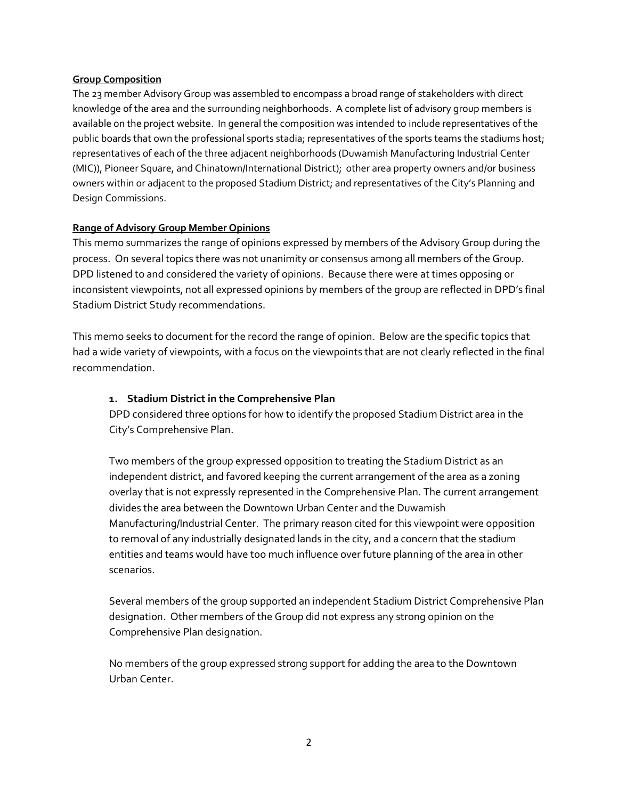## **Group Composition**

The 23 member Advisory Group was assembled to encompass a broad range of stakeholders with direct knowledge of the area and the surrounding neighborhoods. A complete list of advisory group members is available on the project website. In general the composition was intended to include representatives of the public boards that own the professional sports stadia; representatives of the sports teams the stadiums host; representatives of each of the three adjacent neighborhoods (Duwamish Manufacturing Industrial Center (MIC)), Pioneer Square, and Chinatown/International District); other area property owners and/or business owners within or adjacent to the proposed Stadium District; and representatives of the City's Planning and Design Commissions.

# **Range of Advisory Group Member Opinions**

This memo summarizes the range of opinions expressed by members of the Advisory Group during the process. On several topics there was not unanimity or consensus among all members of the Group. DPD listened to and considered the variety of opinions. Because there were at times opposing or inconsistent viewpoints, not all expressed opinions by members of the group are reflected in DPD's final Stadium District Study recommendations.

This memo seeks to document for the record the range of opinion. Below are the specific topics that had a wide variety of viewpoints, with a focus on the viewpoints that are not clearly reflected in the final recommendation.

# **1. Stadium District in the Comprehensive Plan**

DPD considered three options for how to identify the proposed Stadium District area in the City's Comprehensive Plan.

Two members of the group expressed opposition to treating the Stadium District as an independent district, and favored keeping the current arrangement of the area as a zoning overlay that is not expressly represented in the Comprehensive Plan. The current arrangement divides the area between the Downtown Urban Center and the Duwamish Manufacturing/Industrial Center. The primary reason cited for this viewpoint were opposition to removal of any industrially designated lands in the city, and a concern that the stadium entities and teams would have too much influence over future planning of the area in other scenarios.

Several members of the group supported an independent Stadium District Comprehensive Plan designation. Other members of the Group did not express any strong opinion on the Comprehensive Plan designation.

No members of the group expressed strong support for adding the area to the Downtown Urban Center.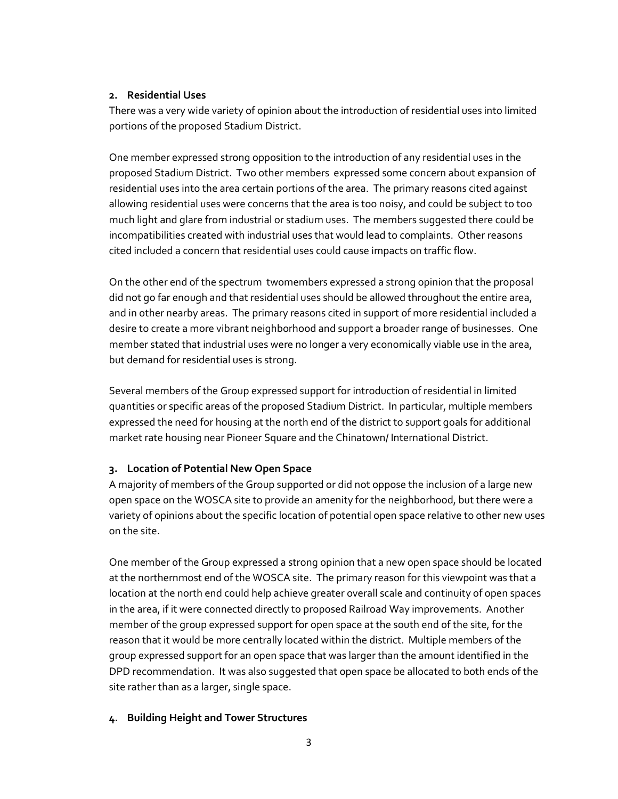## **2. Residential Uses**

There was a very wide variety of opinion about the introduction of residential uses into limited portions of the proposed Stadium District.

One member expressed strong opposition to the introduction of any residential uses in the proposed Stadium District. Two other members expressed some concern about expansion of residential uses into the area certain portions of the area. The primary reasons cited against allowing residential uses were concerns that the area is too noisy, and could be subject to too much light and glare from industrial or stadium uses. The members suggested there could be incompatibilities created with industrial uses that would lead to complaints. Other reasons cited included a concern that residential uses could cause impacts on traffic flow.

On the other end of the spectrum twomembers expressed a strong opinion that the proposal did not go far enough and that residential uses should be allowed throughout the entire area, and in other nearby areas. The primary reasons cited in support of more residential included a desire to create a more vibrant neighborhood and support a broader range of businesses. One member stated that industrial uses were no longer a very economically viable use in the area, but demand for residential uses is strong.

Several members of the Group expressed support for introduction of residential in limited quantities or specific areas of the proposed Stadium District. In particular, multiple members expressed the need for housing at the north end of the district to support goals for additional market rate housing near Pioneer Square and the Chinatown/ International District.

# **3. Location of Potential New Open Space**

A majority of members of the Group supported or did not oppose the inclusion of a large new open space on the WOSCA site to provide an amenity for the neighborhood, but there were a variety of opinions about the specific location of potential open space relative to other new uses on the site.

One member of the Group expressed a strong opinion that a new open space should be located at the northernmost end of the WOSCA site. The primary reason for this viewpoint was that a location at the north end could help achieve greater overall scale and continuity of open spaces in the area, if it were connected directly to proposed Railroad Way improvements. Another member of the group expressed support for open space at the south end of the site, for the reason that it would be more centrally located within the district. Multiple members of the group expressed support for an open space that was larger than the amount identified in the DPD recommendation. It was also suggested that open space be allocated to both ends of the site rather than as a larger, single space.

# **4. Building Height and Tower Structures**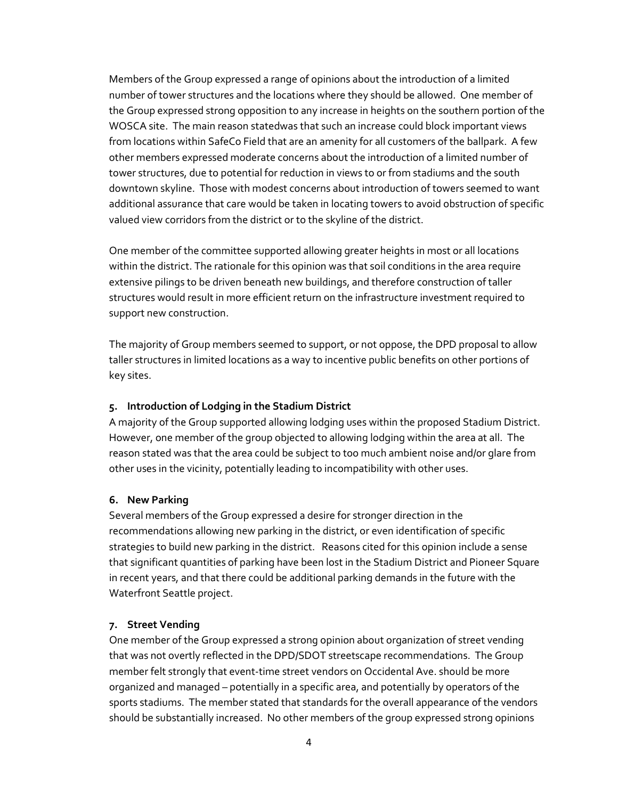Members of the Group expressed a range of opinions about the introduction of a limited number of tower structures and the locations where they should be allowed. One member of the Group expressed strong opposition to any increase in heights on the southern portion of the WOSCA site. The main reason statedwas that such an increase could block important views from locations within SafeCo Field that are an amenity for all customers of the ballpark. A few other members expressed moderate concerns about the introduction of a limited number of tower structures, due to potential for reduction in views to or from stadiums and the south downtown skyline. Those with modest concerns about introduction of towers seemed to want additional assurance that care would be taken in locating towers to avoid obstruction of specific valued view corridors from the district or to the skyline of the district.

One member of the committee supported allowing greater heights in most or all locations within the district. The rationale for this opinion was that soil conditions in the area require extensive pilings to be driven beneath new buildings, and therefore construction of taller structures would result in more efficient return on the infrastructure investment required to support new construction.

The majority of Group members seemed to support, or not oppose, the DPD proposal to allow taller structures in limited locations as a way to incentive public benefits on other portions of key sites.

# **5. Introduction of Lodging in the Stadium District**

A majority of the Group supported allowing lodging uses within the proposed Stadium District. However, one member of the group objected to allowing lodging within the area at all. The reason stated was that the area could be subject to too much ambient noise and/or glare from other uses in the vicinity, potentially leading to incompatibility with other uses.

# **6. New Parking**

Several members of the Group expressed a desire for stronger direction in the recommendations allowing new parking in the district, or even identification of specific strategies to build new parking in the district. Reasons cited for this opinion include a sense that significant quantities of parking have been lost in the Stadium District and Pioneer Square in recent years, and that there could be additional parking demands in the future with the Waterfront Seattle project.

## **7. Street Vending**

One member of the Group expressed a strong opinion about organization of street vending that was not overtly reflected in the DPD/SDOT streetscape recommendations. The Group member felt strongly that event-time street vendors on Occidental Ave. should be more organized and managed – potentially in a specific area, and potentially by operators of the sports stadiums. The member stated that standards for the overall appearance of the vendors should be substantially increased. No other members of the group expressed strong opinions